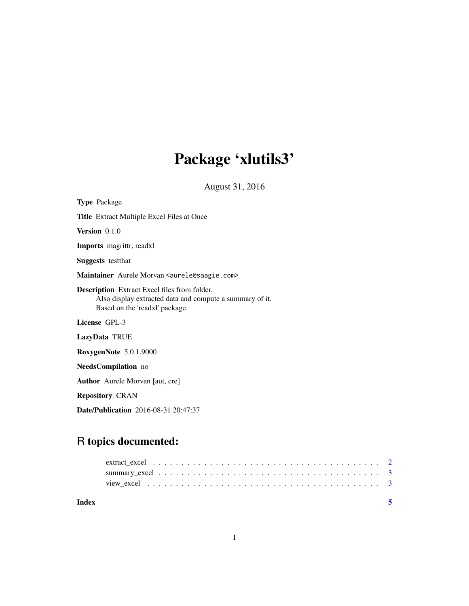# Package 'xlutils3'

August 31, 2016

| <b>Type Package</b>                                                                                                                               |  |  |
|---------------------------------------------------------------------------------------------------------------------------------------------------|--|--|
| <b>Title</b> Extract Multiple Excel Files at Once                                                                                                 |  |  |
| <b>Version</b> $0.1.0$                                                                                                                            |  |  |
| <b>Imports</b> magrittr, readxl                                                                                                                   |  |  |
| <b>Suggests</b> test that                                                                                                                         |  |  |
| Maintainer Aurele Morvan < aurele @saagie.com>                                                                                                    |  |  |
| <b>Description</b> Extract Excel files from folder.<br>Also display extracted data and compute a summary of it.<br>Based on the 'readxl' package. |  |  |
| License GPL-3                                                                                                                                     |  |  |
| LazyData TRUE                                                                                                                                     |  |  |
| RoxygenNote 5.0.1.9000                                                                                                                            |  |  |
| NeedsCompilation no                                                                                                                               |  |  |
| <b>Author</b> Aurele Morvan [aut, cre]                                                                                                            |  |  |
| <b>Repository CRAN</b>                                                                                                                            |  |  |

Date/Publication 2016-08-31 20:47:37

# R topics documented:

| Index |  |
|-------|--|
|       |  |
|       |  |
|       |  |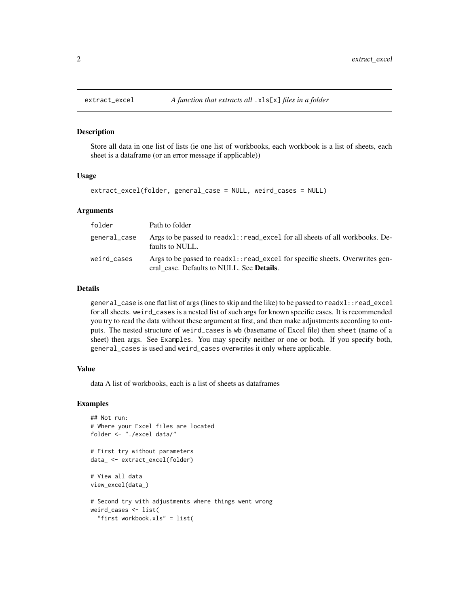#### Description

Store all data in one list of lists (ie one list of workbooks, each workbook is a list of sheets, each sheet is a dataframe (or an error message if applicable))

#### Usage

```
extract_excel(folder, general_case = NULL, weird_cases = NULL)
```
#### Arguments

| folder       | Path to folder                                                                                                                    |
|--------------|-----------------------------------------------------------------------------------------------------------------------------------|
| general_case | Args to be passed to readx1::read_excel for all sheets of all workbooks. De-<br>faults to NULL.                                   |
| weird_cases  | Args to be passed to readx1::read_excel for specific sheets. Overwrites gen-<br>eral case. Defaults to NULL. See <b>Details</b> . |

#### Details

general\_case is one flat list of args (lines to skip and the like) to be passed to readxl::read\_excel for all sheets. weird\_cases is a nested list of such args for known specific cases. It is recommended you try to read the data without these argument at first, and then make adjustments according to outputs. The nested structure of weird\_cases is wb (basename of Excel file) then sheet (name of a sheet) then args. See Examples. You may specify neither or one or both. If you specify both, general\_cases is used and weird\_cases overwrites it only where applicable.

#### Value

data A list of workbooks, each is a list of sheets as dataframes

#### Examples

```
## Not run:
# Where your Excel files are located
folder <- "./excel data/"
# First try without parameters
data_ <- extract_excel(folder)
# View all data
view_excel(data_)
# Second try with adjustments where things went wrong
weird_cases <- list(
  "first workbook.xls" = list(
```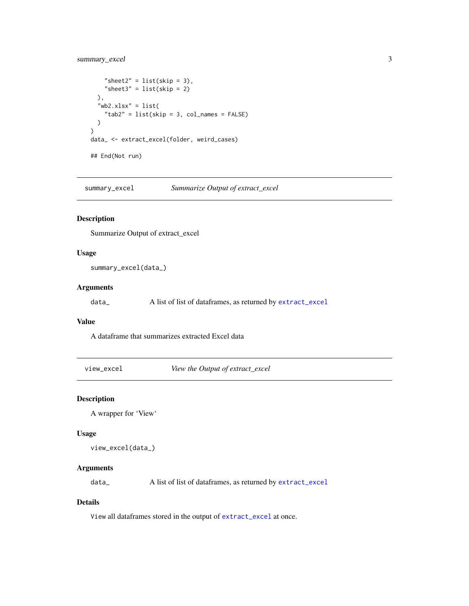# <span id="page-2-0"></span>summary\_excel 3

```
"sheet2" = list(\text{skip} = 3),
    "sheet3" = list(skip = 2)
  ),
  "wb2.xlsx" = list("tab2" = list(skip = 3, col_names = FALSE)\mathcal{L})
data_ <- extract_excel(folder, weird_cases)
## End(Not run)
```
summary\_excel *Summarize Output of extract\_excel*

### Description

Summarize Output of extract\_excel

# Usage

summary\_excel(data\_)

#### Arguments

data\_ A list of list of dataframes, as returned by [extract\\_excel](#page-1-1)

### Value

A dataframe that summarizes extracted Excel data

view\_excel *View the Output of extract\_excel*

### Description

A wrapper for 'View'

#### Usage

```
view_excel(data_)
```
# Arguments

data\_ A list of list of dataframes, as returned by [extract\\_excel](#page-1-1)

# Details

View all dataframes stored in the output of [extract\\_excel](#page-1-1) at once.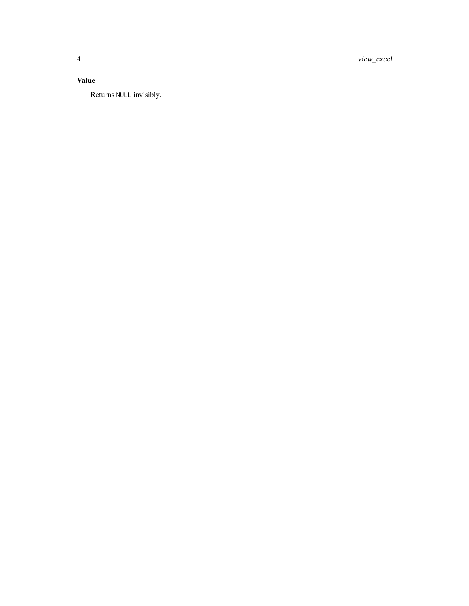view\_excel

# **Value**

Returns NULL invisibly.